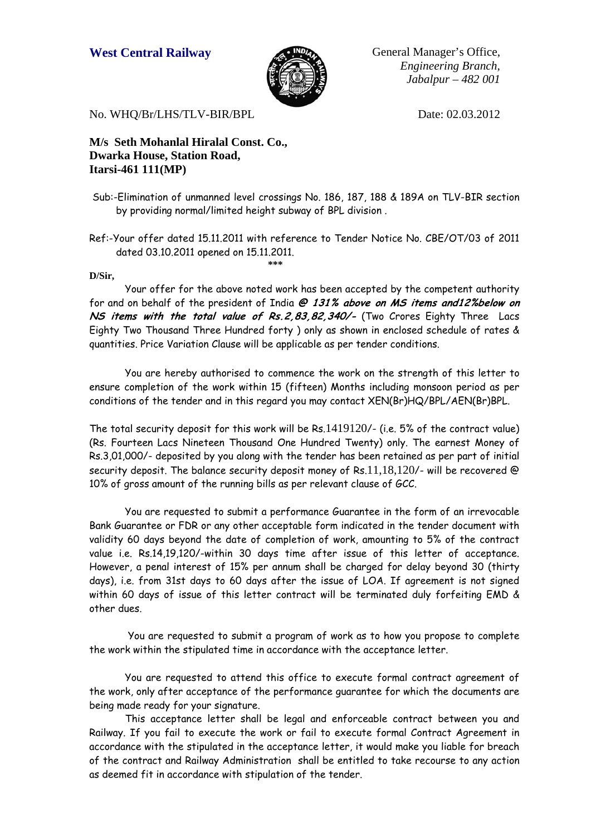

West Central Railway **General Manager's Office**, *Engineering Branch, Jabalpur – 482 001*

No. WHO/Br/LHS/TLV-BIR/BPL Date: 02.03.2012

**M/s Seth Mohanlal Hiralal Const. Co., Dwarka House, Station Road, Itarsi-461 111(MP)** 

- Sub:-Elimination of unmanned level crossings No. 186, 187, 188 & 189A on TLV-BIR section by providing normal/limited height subway of BPL division .
- Ref:-Your offer dated 15.11.2011 with reference to Tender Notice No. CBE/OT/03 of 2011 dated 03.10.2011 opened on 15.11.2011.

**\*\*\*** 

## **D/Sir,**

Your offer for the above noted work has been accepted by the competent authority for and on behalf of the president of India **@ 131% above on MS items and12%below on NS items with the total value of Rs.2,83,82,340/-** (Two Crores Eighty Three Lacs Eighty Two Thousand Three Hundred forty ) only as shown in enclosed schedule of rates & quantities. Price Variation Clause will be applicable as per tender conditions.

You are hereby authorised to commence the work on the strength of this letter to ensure completion of the work within 15 (fifteen) Months including monsoon period as per conditions of the tender and in this regard you may contact XEN(Br)HQ/BPL/AEN(Br)BPL.

The total security deposit for this work will be Rs.1419120/- (i.e. 5% of the contract value) (Rs. Fourteen Lacs Nineteen Thousand One Hundred Twenty) only. The earnest Money of Rs.3,01,000/- deposited by you along with the tender has been retained as per part of initial security deposit. The balance security deposit money of Rs.11,18,120/- will be recovered  $\circledR$ 10% of gross amount of the running bills as per relevant clause of GCC.

You are requested to submit a performance Guarantee in the form of an irrevocable Bank Guarantee or FDR or any other acceptable form indicated in the tender document with validity 60 days beyond the date of completion of work, amounting to 5% of the contract value i.e. Rs.14,19,120/-within 30 days time after issue of this letter of acceptance. However, a penal interest of 15% per annum shall be charged for delay beyond 30 (thirty days), i.e. from 31st days to 60 days after the issue of LOA. If agreement is not signed within 60 days of issue of this letter contract will be terminated duly forfeiting EMD & other dues.

 You are requested to submit a program of work as to how you propose to complete the work within the stipulated time in accordance with the acceptance letter.

 You are requested to attend this office to execute formal contract agreement of the work, only after acceptance of the performance guarantee for which the documents are being made ready for your signature.

 This acceptance letter shall be legal and enforceable contract between you and Railway. If you fail to execute the work or fail to execute formal Contract Agreement in accordance with the stipulated in the acceptance letter, it would make you liable for breach of the contract and Railway Administration shall be entitled to take recourse to any action as deemed fit in accordance with stipulation of the tender.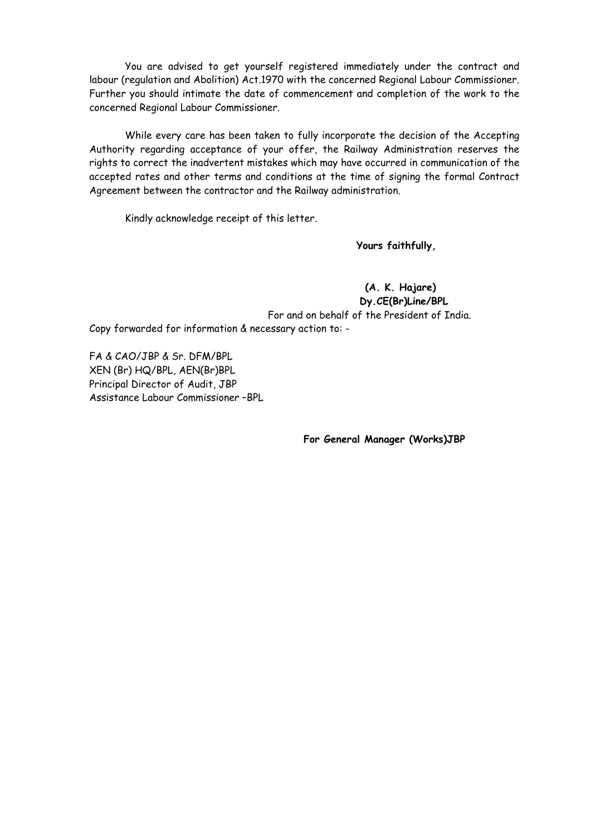You are advised to get yourself registered immediately under the contract and labour (regulation and Abolition) Act.1970 with the concerned Regional Labour Commissioner. Further you should intimate the date of commencement and completion of the work to the concerned Regional Labour Commissioner.

 While every care has been taken to fully incorporate the decision of the Accepting Authority regarding acceptance of your offer, the Railway Administration reserves the rights to correct the inadvertent mistakes which may have occurred in communication of the accepted rates and other terms and conditions at the time of signing the formal Contract Agreement between the contractor and the Railway administration.

Kindly acknowledge receipt of this letter.

**Yours faithfully,** 

 **(A. K. Hajare) Dy.CE(Br)Line/BPL**  For and on behalf of the President of India. Copy forwarded for information & necessary action to: -

FA & CAO/JBP & Sr. DFM/BPL XEN (Br) HQ/BPL, AEN(Br)BPL Principal Director of Audit, JBP Assistance Labour Commissioner –BPL

**For General Manager (Works)JBP**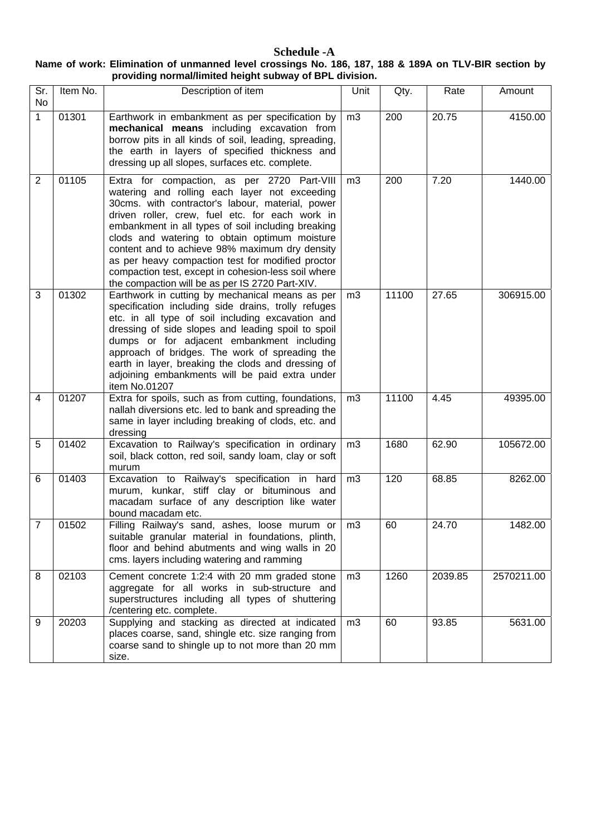## **Schedule -A Name of work: Elimination of unmanned level crossings No. 186, 187, 188 & 189A on TLV-BIR section by providing normal/limited height subway of BPL division.**

| Sr.<br><b>No</b> | Item No. | Description of item                                                                                                                                                                                                                                                                                                                                                                                                                                                                                                         | Unit           | Qty.  | Rate    | Amount     |
|------------------|----------|-----------------------------------------------------------------------------------------------------------------------------------------------------------------------------------------------------------------------------------------------------------------------------------------------------------------------------------------------------------------------------------------------------------------------------------------------------------------------------------------------------------------------------|----------------|-------|---------|------------|
| 1                | 01301    | Earthwork in embankment as per specification by<br>mechanical means including excavation from<br>borrow pits in all kinds of soil, leading, spreading,<br>the earth in layers of specified thickness and<br>dressing up all slopes, surfaces etc. complete.                                                                                                                                                                                                                                                                 | m <sub>3</sub> | 200   | 20.75   | 4150.00    |
| 2                | 01105    | Extra for compaction, as per 2720 Part-VIII<br>watering and rolling each layer not exceeding<br>30cms. with contractor's labour, material, power<br>driven roller, crew, fuel etc. for each work in<br>embankment in all types of soil including breaking<br>clods and watering to obtain optimum moisture<br>content and to achieve 98% maximum dry density<br>as per heavy compaction test for modified proctor<br>compaction test, except in cohesion-less soil where<br>the compaction will be as per IS 2720 Part-XIV. | m <sub>3</sub> | 200   | 7.20    | 1440.00    |
| 3                | 01302    | Earthwork in cutting by mechanical means as per<br>specification including side drains, trolly refuges<br>etc. in all type of soil including excavation and<br>dressing of side slopes and leading spoil to spoil<br>dumps or for adjacent embankment including<br>approach of bridges. The work of spreading the<br>earth in layer, breaking the clods and dressing of<br>adjoining embankments will be paid extra under<br>item No.01207                                                                                  | m <sub>3</sub> | 11100 | 27.65   | 306915.00  |
| $\overline{4}$   | 01207    | Extra for spoils, such as from cutting, foundations,<br>nallah diversions etc. led to bank and spreading the<br>same in layer including breaking of clods, etc. and<br>dressing                                                                                                                                                                                                                                                                                                                                             | m3             | 11100 | 4.45    | 49395.00   |
| 5                | 01402    | Excavation to Railway's specification in ordinary<br>soil, black cotton, red soil, sandy loam, clay or soft<br>murum                                                                                                                                                                                                                                                                                                                                                                                                        | m <sub>3</sub> | 1680  | 62.90   | 105672.00  |
| 6                | 01403    | Excavation to Railway's specification in hard<br>murum, kunkar, stiff clay or bituminous and<br>macadam surface of any description like water<br>bound macadam etc.                                                                                                                                                                                                                                                                                                                                                         | m <sub>3</sub> | 120   | 68.85   | 8262.00    |
| 7                | 01502    | Filling Railway's sand, ashes, loose murum or<br>suitable granular material in foundations, plinth,<br>floor and behind abutments and wing walls in 20<br>cms. layers including watering and ramming                                                                                                                                                                                                                                                                                                                        | m <sub>3</sub> | 60    | 24.70   | 1482.00    |
| 8                | 02103    | Cement concrete 1:2:4 with 20 mm graded stone<br>aggregate for all works in sub-structure and<br>superstructures including all types of shuttering<br>/centering etc. complete.                                                                                                                                                                                                                                                                                                                                             | m <sub>3</sub> | 1260  | 2039.85 | 2570211.00 |
| 9                | 20203    | Supplying and stacking as directed at indicated<br>places coarse, sand, shingle etc. size ranging from<br>coarse sand to shingle up to not more than 20 mm<br>size.                                                                                                                                                                                                                                                                                                                                                         | m3             | 60    | 93.85   | 5631.00    |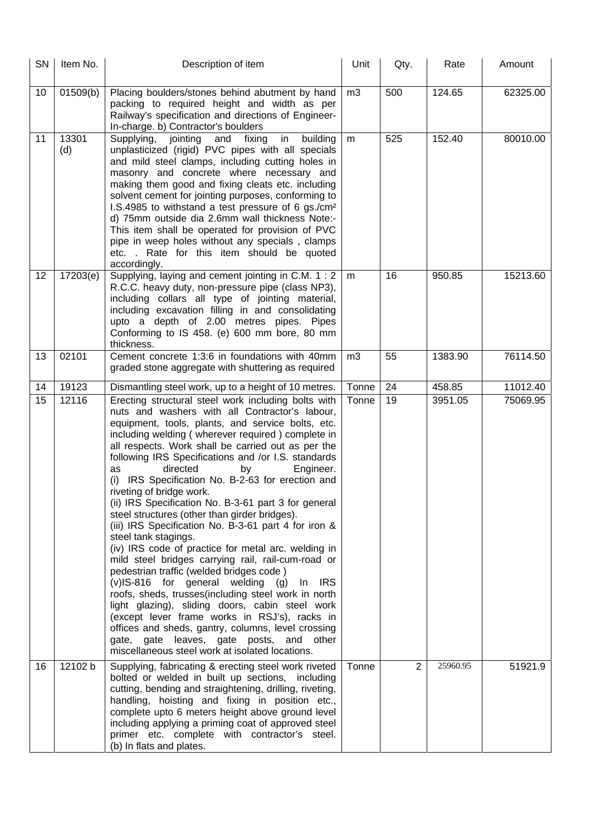| <b>SN</b> | Item No.     | Description of item                                                                                                                                                                                                                                                                                                                                                                                                                                                                                                                                                                                                                                                                                                                                                                                                                                                                                                                                                                                                                                                                                                                                                                | Unit           | Qty.           | Rate     | Amount   |
|-----------|--------------|------------------------------------------------------------------------------------------------------------------------------------------------------------------------------------------------------------------------------------------------------------------------------------------------------------------------------------------------------------------------------------------------------------------------------------------------------------------------------------------------------------------------------------------------------------------------------------------------------------------------------------------------------------------------------------------------------------------------------------------------------------------------------------------------------------------------------------------------------------------------------------------------------------------------------------------------------------------------------------------------------------------------------------------------------------------------------------------------------------------------------------------------------------------------------------|----------------|----------------|----------|----------|
| 10        | 01509(b)     | Placing boulders/stones behind abutment by hand<br>packing to required height and width as per<br>Railway's specification and directions of Engineer-<br>In-charge. b) Contractor's boulders                                                                                                                                                                                                                                                                                                                                                                                                                                                                                                                                                                                                                                                                                                                                                                                                                                                                                                                                                                                       | m <sub>3</sub> | 500            | 124.65   | 62325.00 |
| 11        | 13301<br>(d) | Supplying, jointing<br>and fixing<br>in<br>building<br>unplasticized (rigid) PVC pipes with all specials<br>and mild steel clamps, including cutting holes in<br>masonry and concrete where necessary and<br>making them good and fixing cleats etc. including<br>solvent cement for jointing purposes, conforming to<br>I.S.4985 to withstand a test pressure of 6 gs./cm <sup>2</sup><br>d) 75mm outside dia 2.6mm wall thickness Note:-<br>This item shall be operated for provision of PVC<br>pipe in weep holes without any specials, clamps<br>etc. . Rate for this item should be quoted<br>accordingly.                                                                                                                                                                                                                                                                                                                                                                                                                                                                                                                                                                    | m              | 525            | 152.40   | 80010.00 |
| 12        | 17203(e)     | Supplying, laying and cement jointing in C.M. 1 : 2<br>R.C.C. heavy duty, non-pressure pipe (class NP3),<br>including collars all type of jointing material,<br>including excavation filling in and consolidating<br>upto a depth of 2.00 metres pipes. Pipes<br>Conforming to IS 458. (e) 600 mm bore, 80 mm<br>thickness.                                                                                                                                                                                                                                                                                                                                                                                                                                                                                                                                                                                                                                                                                                                                                                                                                                                        | m              | 16             | 950.85   | 15213.60 |
| 13        | 02101        | Cement concrete 1:3:6 in foundations with 40mm<br>graded stone aggregate with shuttering as required                                                                                                                                                                                                                                                                                                                                                                                                                                                                                                                                                                                                                                                                                                                                                                                                                                                                                                                                                                                                                                                                               | m3             | 55             | 1383.90  | 76114.50 |
| 14        | 19123        | Dismantling steel work, up to a height of 10 metres.                                                                                                                                                                                                                                                                                                                                                                                                                                                                                                                                                                                                                                                                                                                                                                                                                                                                                                                                                                                                                                                                                                                               | Tonne          | 24             | 458.85   | 11012.40 |
| 15        | 12116        | Erecting structural steel work including bolts with<br>nuts and washers with all Contractor's labour,<br>equipment, tools, plants, and service bolts, etc.<br>including welding (wherever required) complete in<br>all respects. Work shall be carried out as per the<br>following IRS Specifications and /or I.S. standards<br>directed<br>Engineer.<br>by<br>as<br>IRS Specification No. B-2-63 for erection and<br>(i)<br>riveting of bridge work.<br>(ii) IRS Specification No. B-3-61 part 3 for general<br>steel structures (other than girder bridges).<br>(iii) IRS Specification No. B-3-61 part 4 for iron &<br>steel tank stagings.<br>(iv) IRS code of practice for metal arc. welding in<br>mild steel bridges carrying rail, rail-cum-road or<br>pedestrian traffic (welded bridges code)<br>$(v)$ IS-816 for general welding $(g)$ In<br><b>IRS</b><br>roofs, sheds, trusses(including steel work in north<br>light glazing), sliding doors, cabin steel work<br>(except lever frame works in RSJ's), racks in<br>offices and sheds, gantry, columns, level crossing<br>gate, gate leaves, gate posts, and other<br>miscellaneous steel work at isolated locations. | Tonne          | 19             | 3951.05  | 75069.95 |
| 16        | 12102 b      | Supplying, fabricating & erecting steel work riveted<br>bolted or welded in built up sections, including<br>cutting, bending and straightening, drilling, riveting,<br>handling, hoisting and fixing in position etc.,<br>complete upto 6 meters height above ground level<br>including applying a priming coat of approved steel<br>primer etc. complete with contractor's steel.<br>(b) In flats and plates.                                                                                                                                                                                                                                                                                                                                                                                                                                                                                                                                                                                                                                                                                                                                                                     | Tonne          | $\overline{2}$ | 25960.95 | 51921.9  |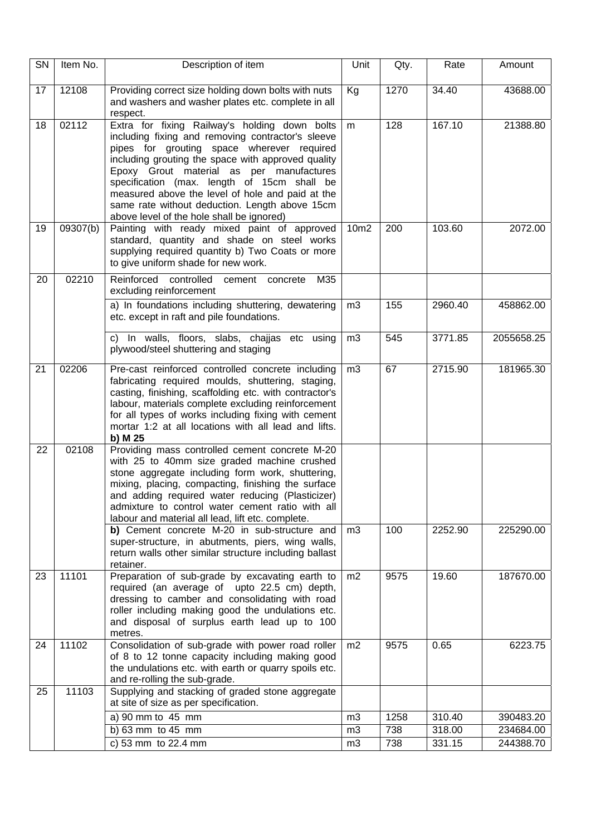| SN | Item No. | Description of item                                                                                                                                                                                                                                                                                                                                                                                                                                  | Unit                 | Rate<br>Qty.  |                  | Amount                 |
|----|----------|------------------------------------------------------------------------------------------------------------------------------------------------------------------------------------------------------------------------------------------------------------------------------------------------------------------------------------------------------------------------------------------------------------------------------------------------------|----------------------|---------------|------------------|------------------------|
| 17 | 12108    | Providing correct size holding down bolts with nuts<br>and washers and washer plates etc. complete in all<br>respect.                                                                                                                                                                                                                                                                                                                                | Kg                   | 1270<br>34.40 |                  | 43688.00               |
| 18 | 02112    | Extra for fixing Railway's holding down bolts<br>including fixing and removing contractor's sleeve<br>pipes for grouting space wherever required<br>including grouting the space with approved quality<br>Epoxy Grout material as per manufactures<br>specification (max. length of 15cm shall be<br>measured above the level of hole and paid at the<br>same rate without deduction. Length above 15cm<br>above level of the hole shall be ignored) | m                    | 128           | 167.10           | 21388.80               |
| 19 | 09307(b) | Painting with ready mixed paint of approved<br>standard, quantity and shade on steel works<br>supplying required quantity b) Two Coats or more<br>to give uniform shade for new work.                                                                                                                                                                                                                                                                | 10m2                 | 200           | 103.60           | 2072.00                |
| 20 | 02210    | Reinforced controlled<br>M35<br>cement<br>concrete<br>excluding reinforcement                                                                                                                                                                                                                                                                                                                                                                        |                      |               |                  |                        |
|    |          | a) In foundations including shuttering, dewatering<br>etc. except in raft and pile foundations.                                                                                                                                                                                                                                                                                                                                                      | m <sub>3</sub>       | 155           | 2960.40          | 458862.00              |
|    |          | c) In walls, floors, slabs, chajjas etc using<br>plywood/steel shuttering and staging                                                                                                                                                                                                                                                                                                                                                                | m <sub>3</sub>       | 545           | 3771.85          | 2055658.25             |
| 21 | 02206    | Pre-cast reinforced controlled concrete including<br>fabricating required moulds, shuttering, staging,<br>casting, finishing, scaffolding etc. with contractor's<br>labour, materials complete excluding reinforcement<br>for all types of works including fixing with cement<br>mortar 1:2 at all locations with all lead and lifts.<br>b) M 25                                                                                                     | m <sub>3</sub>       | 67            | 2715.90          | 181965.30              |
| 22 | 02108    | Providing mass controlled cement concrete M-20<br>with 25 to 40mm size graded machine crushed<br>stone aggregate including form work, shuttering,<br>mixing, placing, compacting, finishing the surface<br>and adding required water reducing (Plasticizer)<br>admixture to control water cement ratio with all<br>labour and material all lead, lift etc. complete.                                                                                 |                      |               |                  |                        |
|    |          | b) Cement concrete M-20 in sub-structure and<br>super-structure, in abutments, piers, wing walls,<br>return walls other similar structure including ballast<br>retainer.                                                                                                                                                                                                                                                                             | m <sub>3</sub>       | 100           | 2252.90          | 225290.00              |
| 23 | 11101    | Preparation of sub-grade by excavating earth to<br>required (an average of upto 22.5 cm) depth,<br>dressing to camber and consolidating with road<br>roller including making good the undulations etc.<br>and disposal of surplus earth lead up to 100<br>metres.                                                                                                                                                                                    | m2                   | 9575          | 19.60            | 187670.00              |
| 24 | 11102    | Consolidation of sub-grade with power road roller<br>of 8 to 12 tonne capacity including making good<br>the undulations etc. with earth or quarry spoils etc.<br>and re-rolling the sub-grade.                                                                                                                                                                                                                                                       | m2                   | 9575          | 0.65             | 6223.75                |
| 25 | 11103    | Supplying and stacking of graded stone aggregate<br>at site of size as per specification.                                                                                                                                                                                                                                                                                                                                                            |                      |               |                  |                        |
|    |          | a) 90 mm to 45 mm                                                                                                                                                                                                                                                                                                                                                                                                                                    | m3                   | 1258          | 310.40           | 390483.20              |
|    |          | b) 63 mm to 45 mm<br>c) 53 mm to 22.4 mm                                                                                                                                                                                                                                                                                                                                                                                                             | m3<br>m <sub>3</sub> | 738<br>738    | 318.00<br>331.15 | 234684.00<br>244388.70 |
|    |          |                                                                                                                                                                                                                                                                                                                                                                                                                                                      |                      |               |                  |                        |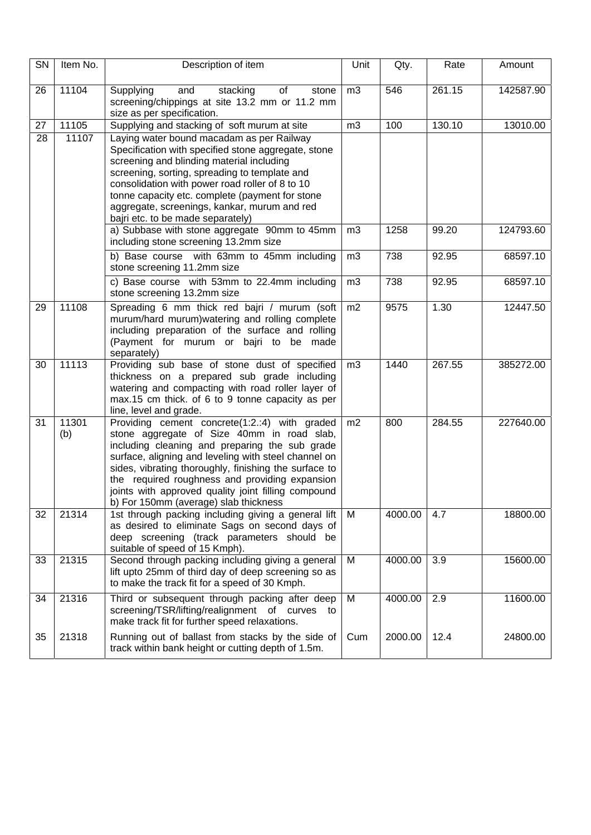| SN | Item No.     | Description of item                                                                                                                                                                                                                                                                                                                                                                                              | Unit           | Qty.             | Rate   | Amount    |
|----|--------------|------------------------------------------------------------------------------------------------------------------------------------------------------------------------------------------------------------------------------------------------------------------------------------------------------------------------------------------------------------------------------------------------------------------|----------------|------------------|--------|-----------|
| 26 | 11104        | Supplying<br>and<br>stacking<br>of<br>stone<br>screening/chippings at site 13.2 mm or 11.2 mm<br>size as per specification.                                                                                                                                                                                                                                                                                      | m <sub>3</sub> | $\overline{546}$ | 261.15 | 142587.90 |
| 27 | 11105        | Supplying and stacking of soft murum at site                                                                                                                                                                                                                                                                                                                                                                     | m3             | 100              | 130.10 | 13010.00  |
| 28 | 11107        | Laying water bound macadam as per Railway<br>Specification with specified stone aggregate, stone<br>screening and blinding material including<br>screening, sorting, spreading to template and<br>consolidation with power road roller of 8 to 10<br>tonne capacity etc. complete (payment for stone<br>aggregate, screenings, kankar, murum and red<br>bajri etc. to be made separately)                        |                |                  |        |           |
|    |              | a) Subbase with stone aggregate 90mm to 45mm<br>including stone screening 13.2mm size                                                                                                                                                                                                                                                                                                                            | m <sub>3</sub> | 1258             | 99.20  | 124793.60 |
|    |              | b) Base course with 63mm to 45mm including<br>stone screening 11.2mm size                                                                                                                                                                                                                                                                                                                                        | m3             | 738              | 92.95  | 68597.10  |
|    |              | c) Base course with 53mm to 22.4mm including<br>stone screening 13.2mm size                                                                                                                                                                                                                                                                                                                                      | m3             | 738              | 92.95  | 68597.10  |
| 29 | 11108        | Spreading 6 mm thick red bajri / murum (soft<br>murum/hard murum) watering and rolling complete<br>including preparation of the surface and rolling<br>(Payment for murum or bajri to be made<br>separately)                                                                                                                                                                                                     | m2             | 9575             | 1.30   | 12447.50  |
| 30 | 11113        | Providing sub base of stone dust of specified<br>thickness on a prepared sub grade including<br>watering and compacting with road roller layer of<br>max.15 cm thick. of 6 to 9 tonne capacity as per<br>line, level and grade.                                                                                                                                                                                  | m <sub>3</sub> | 1440             | 267.55 | 385272.00 |
| 31 | 11301<br>(b) | Providing cement concrete(1:2.:4) with graded<br>stone aggregate of Size 40mm in road slab,<br>including cleaning and preparing the sub grade<br>surface, aligning and leveling with steel channel on<br>sides, vibrating thoroughly, finishing the surface to<br>the required roughness and providing expansion<br>joints with approved quality joint filling compound<br>b) For 150mm (average) slab thickness | m2             | 800              | 284.55 | 227640.00 |
| 32 | 21314        | 1st through packing including giving a general lift<br>as desired to eliminate Sags on second days of<br>deep screening (track parameters should be<br>suitable of speed of 15 Kmph).                                                                                                                                                                                                                            | M              | 4000.00          | 4.7    | 18800.00  |
| 33 | 21315        | Second through packing including giving a general<br>lift upto 25mm of third day of deep screening so as<br>to make the track fit for a speed of 30 Kmph.                                                                                                                                                                                                                                                        | M              | 4000.00          | 3.9    | 15600.00  |
| 34 | 21316        | Third or subsequent through packing after deep<br>screening/TSR/lifting/realignment of curves<br>to<br>make track fit for further speed relaxations.                                                                                                                                                                                                                                                             | M              | 4000.00          | 2.9    | 11600.00  |
| 35 | 21318        | Running out of ballast from stacks by the side of<br>track within bank height or cutting depth of 1.5m.                                                                                                                                                                                                                                                                                                          | Cum            | 2000.00          | 12.4   | 24800.00  |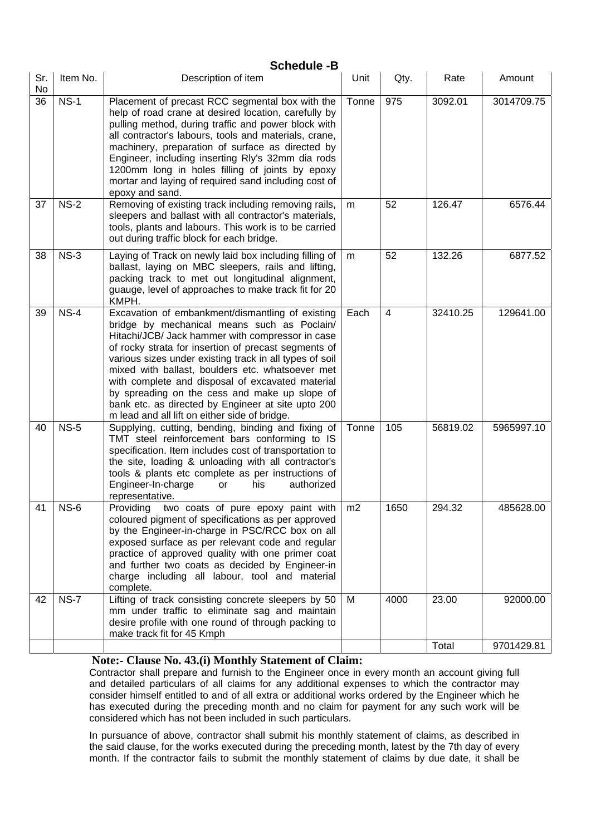|                  | <b>Schedule -B</b> |                                                                                                                                                                                                                                                                                                                                                                                                                                                                                                                                        |       |                |          |            |  |  |
|------------------|--------------------|----------------------------------------------------------------------------------------------------------------------------------------------------------------------------------------------------------------------------------------------------------------------------------------------------------------------------------------------------------------------------------------------------------------------------------------------------------------------------------------------------------------------------------------|-------|----------------|----------|------------|--|--|
| Sr.<br><b>No</b> | Item No.           | Description of item                                                                                                                                                                                                                                                                                                                                                                                                                                                                                                                    | Unit  | Qty.           | Rate     | Amount     |  |  |
| 36               | $NS-1$             | Placement of precast RCC segmental box with the<br>help of road crane at desired location, carefully by<br>pulling method, during traffic and power block with<br>all contractor's labours, tools and materials, crane,<br>machinery, preparation of surface as directed by<br>Engineer, including inserting Rly's 32mm dia rods<br>1200mm long in holes filling of joints by epoxy<br>mortar and laying of required sand including cost of<br>epoxy and sand.                                                                         | Tonne | 975            | 3092.01  | 3014709.75 |  |  |
| 37               | $NS-2$             | Removing of existing track including removing rails,<br>sleepers and ballast with all contractor's materials,<br>tools, plants and labours. This work is to be carried<br>out during traffic block for each bridge.                                                                                                                                                                                                                                                                                                                    | m     | 52             | 126.47   | 6576.44    |  |  |
| 38               | $NS-3$             | Laying of Track on newly laid box including filling of<br>ballast, laying on MBC sleepers, rails and lifting,<br>packing track to met out longitudinal alignment,<br>guauge, level of approaches to make track fit for 20<br>KMPH.                                                                                                                                                                                                                                                                                                     | m     | 52             | 132.26   | 6877.52    |  |  |
| 39               | $NS-4$             | Excavation of embankment/dismantling of existing<br>bridge by mechanical means such as Poclain/<br>Hitachi/JCB/ Jack hammer with compressor in case<br>of rocky strata for insertion of precast segments of<br>various sizes under existing track in all types of soil<br>mixed with ballast, boulders etc. whatsoever met<br>with complete and disposal of excavated material<br>by spreading on the cess and make up slope of<br>bank etc. as directed by Engineer at site upto 200<br>m lead and all lift on either side of bridge. | Each  | $\overline{4}$ | 32410.25 | 129641.00  |  |  |
| 40               | $NS-5$             | Supplying, cutting, bending, binding and fixing of<br>TMT steel reinforcement bars conforming to IS<br>specification. Item includes cost of transportation to<br>the site, loading & unloading with all contractor's<br>tools & plants etc complete as per instructions of<br>Engineer-In-charge<br>his<br>authorized<br>or<br>representative.                                                                                                                                                                                         | Tonne | 105            | 56819.02 | 5965997.10 |  |  |
| 41               | $NS-6$             | Providing<br>two coats of pure epoxy paint with<br>coloured pigment of specifications as per approved<br>by the Engineer-in-charge in PSC/RCC box on all<br>exposed surface as per relevant code and regular<br>practice of approved quality with one primer coat<br>and further two coats as decided by Engineer-in<br>charge including all labour, tool and material<br>complete.                                                                                                                                                    | m2    | 1650           | 294.32   | 485628.00  |  |  |
| 42               | $NS-7$             | Lifting of track consisting concrete sleepers by 50<br>mm under traffic to eliminate sag and maintain<br>desire profile with one round of through packing to<br>make track fit for 45 Kmph                                                                                                                                                                                                                                                                                                                                             | М     | 4000           | 23.00    | 92000.00   |  |  |
|                  |                    |                                                                                                                                                                                                                                                                                                                                                                                                                                                                                                                                        |       |                | Total    | 9701429.81 |  |  |

# **Note:- Clause No. 43.(i) Monthly Statement of Claim:**

Contractor shall prepare and furnish to the Engineer once in every month an account giving full and detailed particulars of all claims for any additional expenses to which the contractor may consider himself entitled to and of all extra or additional works ordered by the Engineer which he has executed during the preceding month and no claim for payment for any such work will be considered which has not been included in such particulars.

In pursuance of above, contractor shall submit his monthly statement of claims, as described in the said clause, for the works executed during the preceding month, latest by the 7th day of every month. If the contractor fails to submit the monthly statement of claims by due date, it shall be